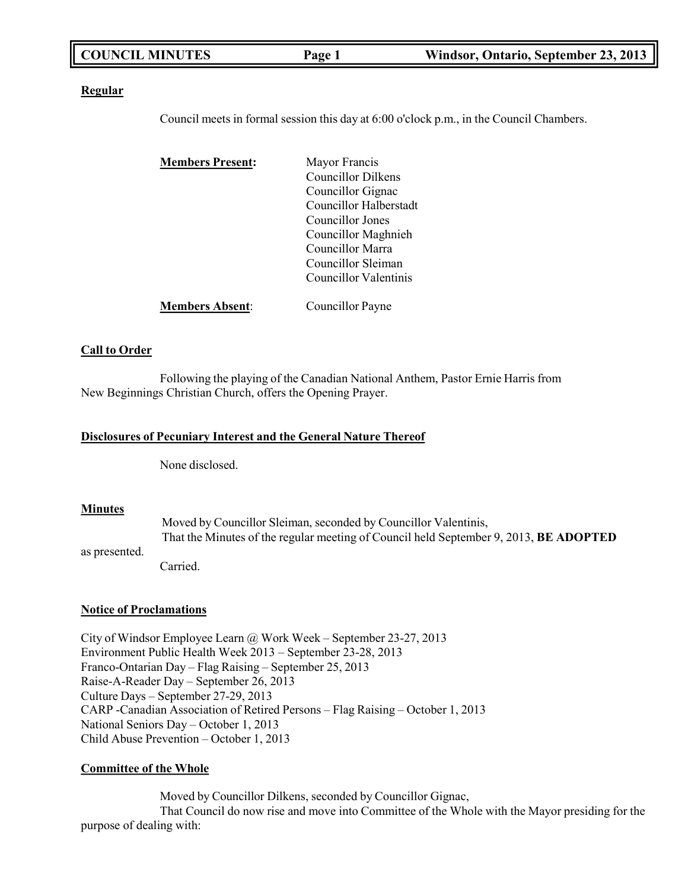| <b>COUNCIL MINUTES</b> | Page 1 | Windsor, Ontario, September 23, 2013 |
|------------------------|--------|--------------------------------------|
|------------------------|--------|--------------------------------------|

#### **Regular**

Council meets in formal session this day at 6:00 o'clock p.m., in the Council Chambers.

| <b>Members Present:</b> | Mayor Francis                 |
|-------------------------|-------------------------------|
|                         | Councillor Dilkens            |
|                         | Councillor Gignac             |
|                         | <b>Councillor Halberstadt</b> |
|                         | Councillor Jones              |
|                         | Councillor Maghnieh           |
|                         | Councillor Marra              |
|                         | Councillor Sleiman            |
|                         | Councillor Valentinis         |
| <b>Members Absent:</b>  | Councillor Payne              |

### **Call to Order**

Following the playing of the Canadian National Anthem, Pastor Ernie Harris from New Beginnings Christian Church, offers the Opening Prayer.

#### **Disclosures of Pecuniary Interest and the General Nature Thereof**

None disclosed.

### **Minutes**

Moved by Councillor Sleiman, seconded by Councillor Valentinis, That the Minutes of the regular meeting of Council held September 9, 2013, **BE ADOPTED**

as presented.

Carried.

### **Notice of Proclamations**

City of Windsor Employee Learn @ Work Week – September 23-27, 2013 Environment Public Health Week 2013 – September 23-28, 2013 Franco-Ontarian Day – Flag Raising – September 25, 2013 Raise-A-Reader Day – September 26, 2013 Culture Days – September 27-29, 2013 CARP -Canadian Association of Retired Persons – Flag Raising – October 1, 2013 National Seniors Day – October 1, 2013 Child Abuse Prevention – October 1, 2013

### **Committee of the Whole**

Moved by Councillor Dilkens, seconded by Councillor Gignac, That Council do now rise and move into Committee of the Whole with the Mayor presiding for the purpose of dealing with: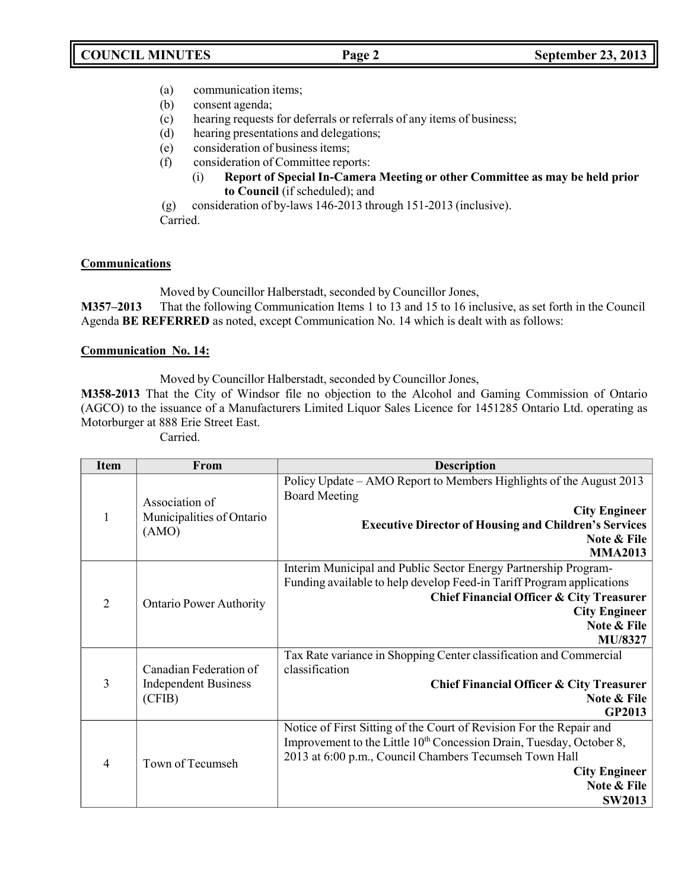- (a) communication items;
- (b) consent agenda;
- (c) hearing requests for deferrals or referrals of any items of business;
- (d) hearing presentations and delegations;
- (e) consideration of business items;
- (f) consideration of Committee reports:
	- (i) **Report of Special In-Camera Meeting or other Committee as may be held prior to Council** (if scheduled); and
- (g) consideration of by-laws 146-2013 through 151-2013 (inclusive).

Carried.

## **Communications**

Moved by Councillor Halberstadt, seconded by Councillor Jones,

**M357–2013** That the following Communication Items 1 to 13 and 15 to 16 inclusive, as set forth in the Council Agenda **BE REFERRED** as noted, except Communication No. 14 which is dealt with as follows:

## **Communication No. 14:**

Moved by Councillor Halberstadt, seconded by Councillor Jones,

**M358-2013** That the City of Windsor file no objection to the Alcohol and Gaming Commission of Ontario (AGCO) to the issuance of a Manufacturers Limited Liquor Sales Licence for 1451285 Ontario Ltd. operating as Motorburger at 888 Erie Street East.

Carried.

| <b>Item</b>    | From                                                            | <b>Description</b>                                                                                                                                                                                                                                                        |
|----------------|-----------------------------------------------------------------|---------------------------------------------------------------------------------------------------------------------------------------------------------------------------------------------------------------------------------------------------------------------------|
| 1              | Association of<br>Municipalities of Ontario<br>(AMO)            | Policy Update – AMO Report to Members Highlights of the August 2013<br><b>Board Meeting</b><br><b>City Engineer</b><br><b>Executive Director of Housing and Children's Services</b><br>Note & File<br><b>MMA2013</b>                                                      |
| $\overline{2}$ | <b>Ontario Power Authority</b>                                  | Interim Municipal and Public Sector Energy Partnership Program-<br>Funding available to help develop Feed-in Tariff Program applications<br><b>Chief Financial Officer &amp; City Treasurer</b><br><b>City Engineer</b><br>Note & File<br>MU/8327                         |
| 3              | Canadian Federation of<br><b>Independent Business</b><br>(CFIB) | Tax Rate variance in Shopping Center classification and Commercial<br>classification<br><b>Chief Financial Officer &amp; City Treasurer</b><br>Note & File<br><b>GP2013</b>                                                                                               |
| 4              | Town of Tecumseh                                                | Notice of First Sitting of the Court of Revision For the Repair and<br>Improvement to the Little 10 <sup>th</sup> Concession Drain, Tuesday, October 8,<br>2013 at 6:00 p.m., Council Chambers Tecumseh Town Hall<br><b>City Engineer</b><br>Note & File<br><b>SW2013</b> |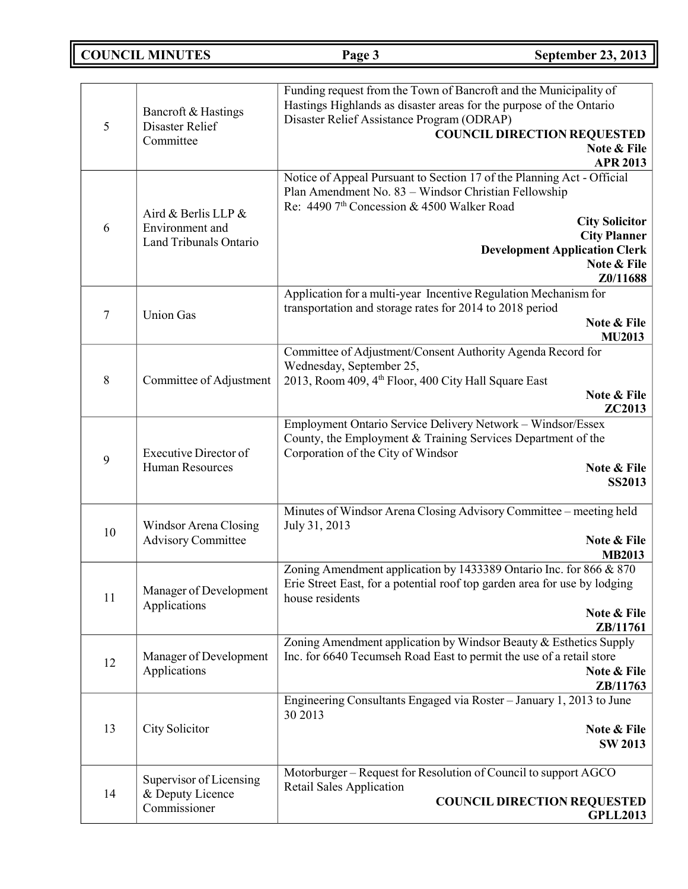# **COUNCIL MINUTES Page 3 September 23, 2013**

| 5  | Bancroft & Hastings<br>Disaster Relief<br>Committee              | Funding request from the Town of Bancroft and the Municipality of<br>Hastings Highlands as disaster areas for the purpose of the Ontario<br>Disaster Relief Assistance Program (ODRAP)<br><b>COUNCIL DIRECTION REQUESTED</b><br>Note & File<br><b>APR 2013</b>                                              |
|----|------------------------------------------------------------------|-------------------------------------------------------------------------------------------------------------------------------------------------------------------------------------------------------------------------------------------------------------------------------------------------------------|
| 6  | Aird & Berlis LLP &<br>Environment and<br>Land Tribunals Ontario | Notice of Appeal Pursuant to Section 17 of the Planning Act - Official<br>Plan Amendment No. 83 - Windsor Christian Fellowship<br>Re: 4490 7 <sup>th</sup> Concession & 4500 Walker Road<br><b>City Solicitor</b><br><b>City Planner</b><br><b>Development Application Clerk</b><br>Note & File<br>Z0/11688 |
| 7  | <b>Union Gas</b>                                                 | Application for a multi-year Incentive Regulation Mechanism for<br>transportation and storage rates for 2014 to 2018 period<br>Note & File<br><b>MU2013</b>                                                                                                                                                 |
| 8  | Committee of Adjustment                                          | Committee of Adjustment/Consent Authority Agenda Record for<br>Wednesday, September 25,<br>2013, Room 409, 4 <sup>th</sup> Floor, 400 City Hall Square East<br>Note & File<br><b>ZC2013</b>                                                                                                                 |
| 9  | <b>Executive Director of</b><br>Human Resources                  | Employment Ontario Service Delivery Network - Windsor/Essex<br>County, the Employment & Training Services Department of the<br>Corporation of the City of Windsor<br>Note & File<br>SS2013                                                                                                                  |
| 10 | Windsor Arena Closing<br><b>Advisory Committee</b>               | Minutes of Windsor Arena Closing Advisory Committee – meeting held<br>July 31, 2013<br>Note & File<br><b>MB2013</b>                                                                                                                                                                                         |
| 11 | Manager of Development<br>Applications                           | Zoning Amendment application by 1433389 Ontario Inc. for 866 & 870<br>Erie Street East, for a potential roof top garden area for use by lodging<br>house residents<br>Note & File<br>ZB/11761                                                                                                               |
| 12 | Manager of Development<br>Applications                           | Zoning Amendment application by Windsor Beauty & Esthetics Supply<br>Inc. for 6640 Tecumseh Road East to permit the use of a retail store<br>Note & File<br>ZB/11763                                                                                                                                        |
| 13 | City Solicitor                                                   | Engineering Consultants Engaged via Roster - January 1, 2013 to June<br>30 2013<br>Note & File<br><b>SW 2013</b>                                                                                                                                                                                            |
| 14 | Supervisor of Licensing<br>& Deputy Licence<br>Commissioner      | Motorburger - Request for Resolution of Council to support AGCO<br>Retail Sales Application<br><b>COUNCIL DIRECTION REQUESTED</b><br><b>GPLL2013</b>                                                                                                                                                        |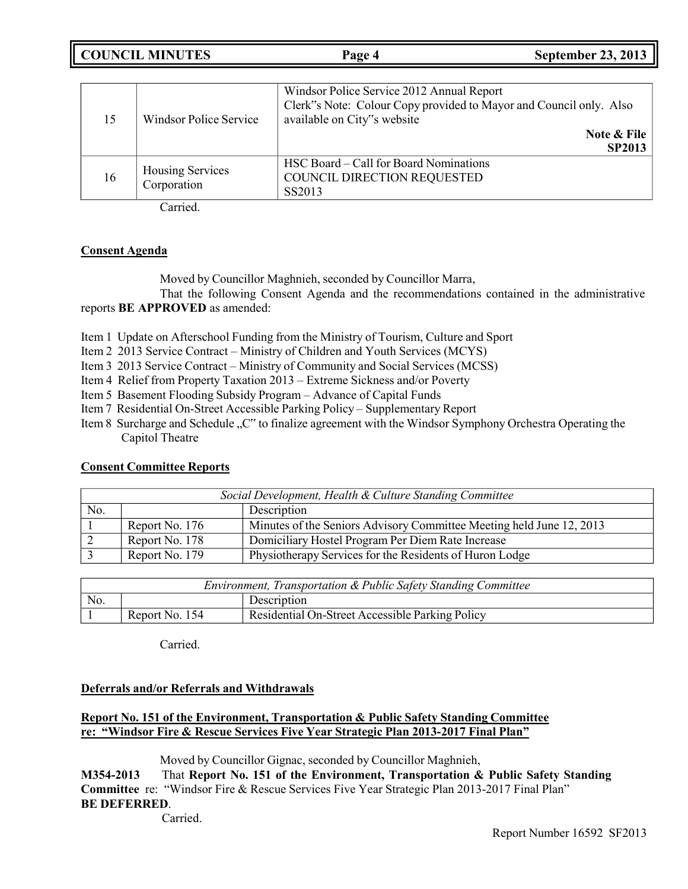**COUNCIL MINUTES Page 4 September 23, 2013**

| 15 | Windsor Police Service          | Windsor Police Service 2012 Annual Report<br>Clerk"s Note: Colour Copy provided to Mayor and Council only. Also<br>available on City"s website<br>Note & File<br><b>SP2013</b> |
|----|---------------------------------|--------------------------------------------------------------------------------------------------------------------------------------------------------------------------------|
| 16 | Housing Services<br>Corporation | HSC Board – Call for Board Nominations<br>COUNCIL DIRECTION REQUESTED<br>SS2013                                                                                                |

Carried.

## **Consent Agenda**

Moved by Councillor Maghnieh, seconded by Councillor Marra,

That the following Consent Agenda and the recommendations contained in the administrative reports **BE APPROVED** as amended:

Item 1 Update on Afterschool Funding from the Ministry of Tourism, Culture and Sport

Item 2 2013 Service Contract – Ministry of Children and Youth Services (MCYS)

Item 3 2013 Service Contract – Ministry of Community and Social Services (MCSS)

Item 4 Relief from Property Taxation 2013 – Extreme Sickness and/or Poverty

Item 5 Basement Flooding Subsidy Program – Advance of Capital Funds

Item 7 Residential On-Street Accessible Parking Policy – Supplementary Report

Item 8 Surcharge and Schedule "C" to finalize agreement with the Windsor Symphony Orchestra Operating the Capitol Theatre

## **Consent Committee Reports**

| Social Development, Health & Culture Standing Committee |                |                                                                      |
|---------------------------------------------------------|----------------|----------------------------------------------------------------------|
| No.                                                     |                | Description                                                          |
|                                                         | Report No. 176 | Minutes of the Seniors Advisory Committee Meeting held June 12, 2013 |
|                                                         | Report No. 178 | Domiciliary Hostel Program Per Diem Rate Increase                    |
|                                                         | Report No. 179 | Physiotherapy Services for the Residents of Huron Lodge              |

| Environment, Transportation & Public Safety Standing Committee |                |                                                 |
|----------------------------------------------------------------|----------------|-------------------------------------------------|
| No.                                                            | Description    |                                                 |
|                                                                | Report No. 154 | Residential On-Street Accessible Parking Policy |

Carried.

## **Deferrals and/or Referrals and Withdrawals**

## **Report No. 151 of the Environment, Transportation & Public Safety Standing Committee re: "Windsor Fire & Rescue Services Five Year Strategic Plan 2013-2017 Final Plan"**

Moved by Councillor Gignac, seconded by Councillor Maghnieh,

**M354-2013** That **Report No. 151 of the Environment, Transportation & Public Safety Standing Committee** re: "Windsor Fire & Rescue Services Five Year Strategic Plan 2013-2017 Final Plan" **BE DEFERRED**.

Carried.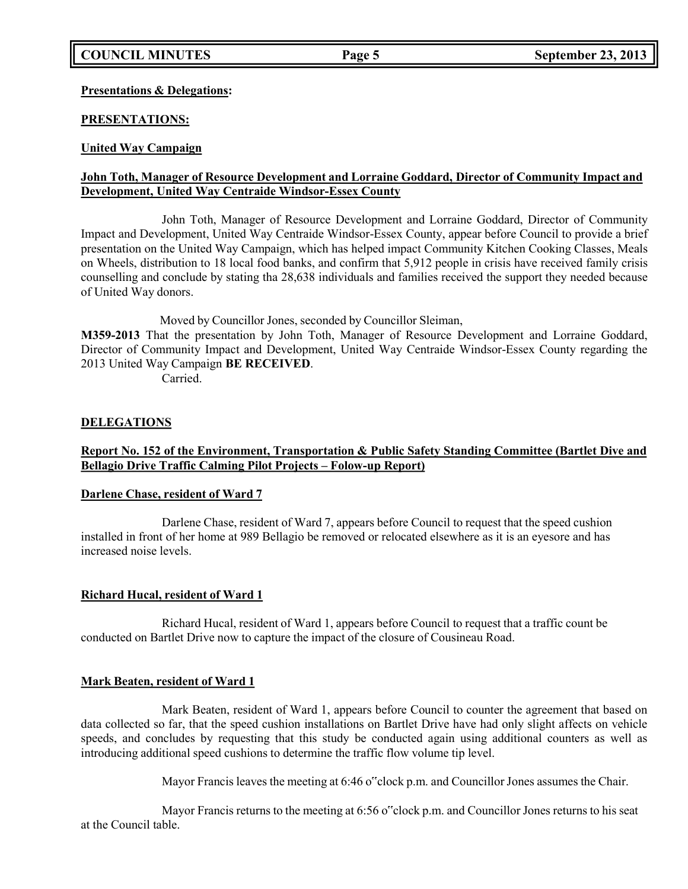## **Presentations & Delegations:**

## **PRESENTATIONS:**

## **United Way Campaign**

## **John Toth, Manager of Resource Development and Lorraine Goddard, Director of Community Impact and Development, United Way Centraide Windsor-Essex County**

John Toth, Manager of Resource Development and Lorraine Goddard, Director of Community Impact and Development, United Way Centraide Windsor-Essex County, appear before Council to provide a brief presentation on the United Way Campaign, which has helped impact Community Kitchen Cooking Classes, Meals on Wheels, distribution to 18 local food banks, and confirm that 5,912 people in crisis have received family crisis counselling and conclude by stating tha 28,638 individuals and families received the support they needed because of United Way donors.

Moved by Councillor Jones, seconded by Councillor Sleiman,

**M359-2013** That the presentation by John Toth, Manager of Resource Development and Lorraine Goddard, Director of Community Impact and Development, United Way Centraide Windsor-Essex County regarding the 2013 United Way Campaign **BE RECEIVED**.

Carried.

## **DELEGATIONS**

## **Report No. 152 of the Environment, Transportation & Public Safety Standing Committee (Bartlet Dive and Bellagio Drive Traffic Calming Pilot Projects – Folow-up Report)**

## **Darlene Chase, resident of Ward 7**

Darlene Chase, resident of Ward 7, appears before Council to request that the speed cushion installed in front of her home at 989 Bellagio be removed or relocated elsewhere as it is an eyesore and has increased noise levels.

## **Richard Hucal, resident of Ward 1**

Richard Hucal, resident of Ward 1, appears before Council to request that a traffic count be conducted on Bartlet Drive now to capture the impact of the closure of Cousineau Road.

### **Mark Beaten, resident of Ward 1**

Mark Beaten, resident of Ward 1, appears before Council to counter the agreement that based on data collected so far, that the speed cushion installations on Bartlet Drive have had only slight affects on vehicle speeds, and concludes by requesting that this study be conducted again using additional counters as well as introducing additional speed cushions to determine the traffic flow volume tip level.

Mayor Francis leaves the meeting at 6:46 o"clock p.m. and Councillor Jones assumes the Chair.

Mayor Francis returns to the meeting at 6:56 o"clock p.m. and Councillor Jones returns to his seat at the Council table.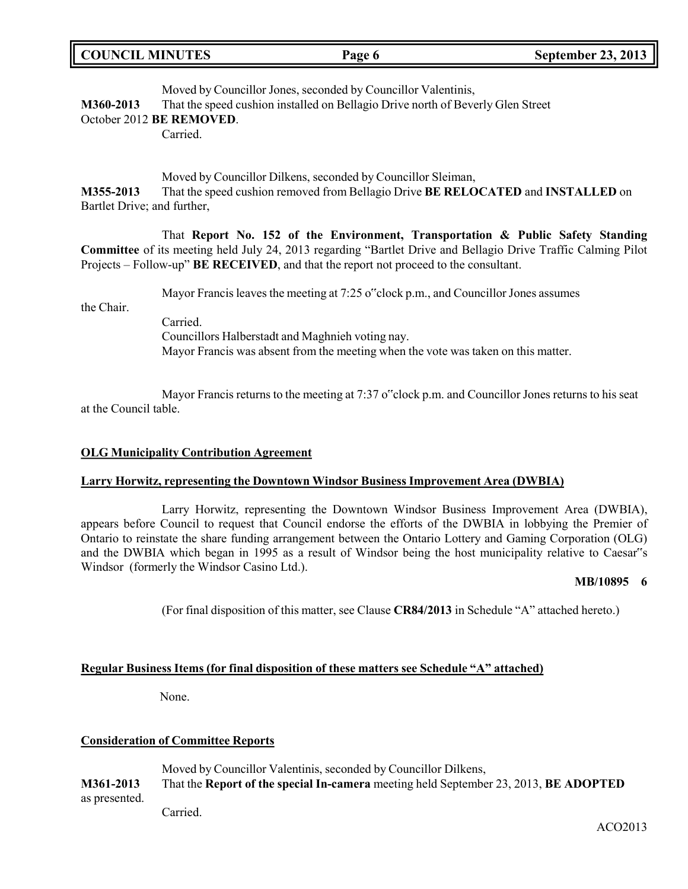| <b>COUNCIL MINUTES</b> | Page 6 | <b>September 23, 2013</b> |
|------------------------|--------|---------------------------|
|                        |        |                           |

Moved by Councillor Jones, seconded by Councillor Valentinis, **M360-2013** That the speed cushion installed on Bellagio Drive north of Beverly Glen Street

### October 2012 **BE REMOVED**.

Carried.

Moved by Councillor Dilkens, seconded by Councillor Sleiman, **M355-2013** That the speed cushion removed from Bellagio Drive **BE RELOCATED** and **INSTALLED** on Bartlet Drive; and further,

That **Report No. 152 of the Environment, Transportation & Public Safety Standing Committee** of its meeting held July 24, 2013 regarding "Bartlet Drive and Bellagio Drive Traffic Calming Pilot Projects – Follow-up" **BE RECEIVED**, and that the report not proceed to the consultant.

Mayor Francis leaves the meeting at 7:25 o clock p.m., and Councillor Jones assumes

the Chair.

Carried. Councillors Halberstadt and Maghnieh voting nay. Mayor Francis was absent from the meeting when the vote was taken on this matter.

Mayor Francis returns to the meeting at 7:37 o"clock p.m. and Councillor Jones returns to his seat at the Council table.

## **OLG Municipality Contribution Agreement**

## **Larry Horwitz, representing the Downtown Windsor Business Improvement Area (DWBIA)**

Larry Horwitz, representing the Downtown Windsor Business Improvement Area (DWBIA), appears before Council to request that Council endorse the efforts of the DWBIA in lobbying the Premier of Ontario to reinstate the share funding arrangement between the Ontario Lottery and Gaming Corporation (OLG) and the DWBIA which began in 1995 as a result of Windsor being the host municipality relative to Caesar"s Windsor (formerly the Windsor Casino Ltd.).

### **MB/10895 6**

(For final disposition of this matter, see Clause **CR84/2013** in Schedule "A" attached hereto.)

## **Regular Business Items (for final disposition of these matters see Schedule "A" attached)**

None.

## **Consideration of Committee Reports**

Moved by Councillor Valentinis, seconded by Councillor Dilkens, **M361-2013** That the **Report of the special In-camera** meeting held September 23, 2013, **BE ADOPTED** as presented. Carried.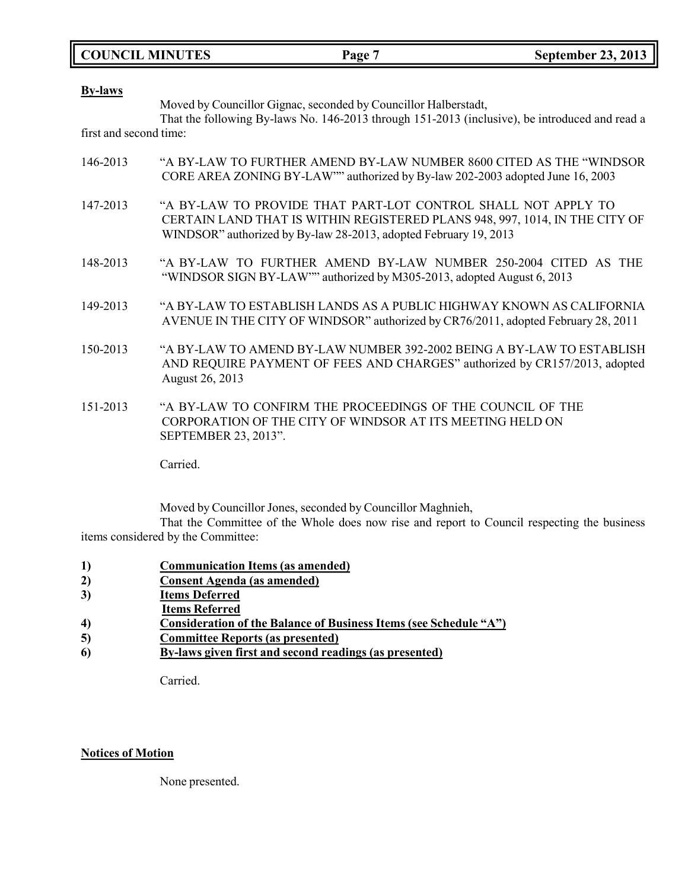|  | <b>COUNCIL MINUTES</b> |
|--|------------------------|
|--|------------------------|

| <b>By-laws</b>         | Moved by Councillor Gignac, seconded by Councillor Halberstadt,<br>That the following By-laws No. 146-2013 through 151-2013 (inclusive), be introduced and read a                                                |
|------------------------|------------------------------------------------------------------------------------------------------------------------------------------------------------------------------------------------------------------|
| first and second time: |                                                                                                                                                                                                                  |
| 146-2013               | "A BY-LAW TO FURTHER AMEND BY-LAW NUMBER 8600 CITED AS THE "WINDSOR<br>CORE AREA ZONING BY-LAW"" authorized by By-law 202-2003 adopted June 16, 2003                                                             |
| 147-2013               | "A BY-LAW TO PROVIDE THAT PART-LOT CONTROL SHALL NOT APPLY TO<br>CERTAIN LAND THAT IS WITHIN REGISTERED PLANS 948, 997, 1014, IN THE CITY OF<br>WINDSOR" authorized by By-law 28-2013, adopted February 19, 2013 |
| 148-2013               | "A BY-LAW TO FURTHER AMEND BY-LAW NUMBER 250-2004 CITED AS THE<br>"WINDSOR SIGN BY-LAW"" authorized by M305-2013, adopted August 6, 2013                                                                         |
| 149-2013               | "A BY-LAW TO ESTABLISH LANDS AS A PUBLIC HIGHWAY KNOWN AS CALIFORNIA<br>AVENUE IN THE CITY OF WINDSOR" authorized by CR76/2011, adopted February 28, 2011                                                        |
| 150-2013               | "A BY-LAW TO AMEND BY-LAW NUMBER 392-2002 BEING A BY-LAW TO ESTABLISH<br>AND REQUIRE PAYMENT OF FEES AND CHARGES" authorized by CR157/2013, adopted<br>August 26, 2013                                           |
| 151-2013               | "A BY-LAW TO CONFIRM THE PROCEEDINGS OF THE COUNCIL OF THE<br>CORPORATION OF THE CITY OF WINDSOR AT ITS MEETING HELD ON<br>SEPTEMBER 23, 2013".                                                                  |
|                        | Carried.                                                                                                                                                                                                         |

Moved by Councillor Jones, seconded by Councillor Maghnieh,

That the Committee of the Whole does now rise and report to Council respecting the business items considered by the Committee:

- **1) Communication Items (as amended)**
- **2) Consent Agenda (as amended)**
- **3) Items Deferred**
- **Items Referred**
- **4) Consideration of the Balance of Business Items (see Schedule "A")**
- **5) Committee Reports (as presented)**
- **6) By-laws given first and second readings (as presented)**

Carried.

## **Notices of Motion**

None presented.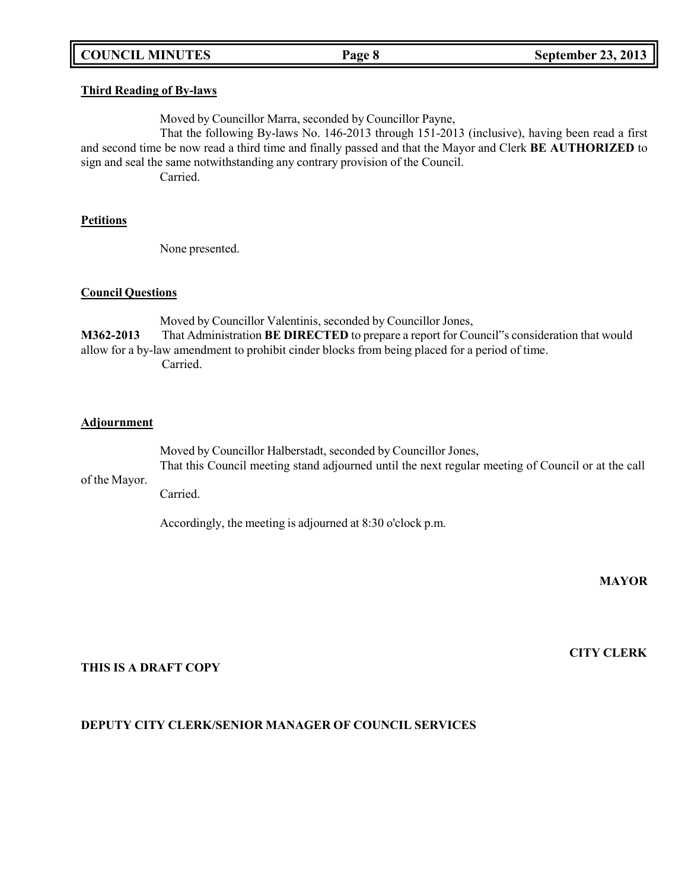## **COUNCIL MINUTES Page 8 September 23, 2013**

### **Third Reading of By-laws**

Moved by Councillor Marra, seconded by Councillor Payne,

That the following By-laws No. 146-2013 through 151-2013 (inclusive), having been read a first and second time be now read a third time and finally passed and that the Mayor and Clerk **BE AUTHORIZED** to sign and seal the same notwithstanding any contrary provision of the Council.

Carried.

### **Petitions**

None presented.

### **Council Questions**

Moved by Councillor Valentinis, seconded by Councillor Jones, **M362-2013** That Administration **BE DIRECTED** to prepare a report for Council"s consideration that would allow for a by-law amendment to prohibit cinder blocks from being placed for a period of time. Carried.

### **Adjournment**

of the Mayor. Moved by Councillor Halberstadt, seconded by Councillor Jones, That this Council meeting stand adjourned until the next regular meeting of Council or at the call Carried.

Accordingly, the meeting is adjourned at 8:30 o'clock p.m.

**MAYOR**

**CITY CLERK**

## **THIS IS A DRAFT COPY**

### **DEPUTY CITY CLERK/SENIOR MANAGER OF COUNCIL SERVICES**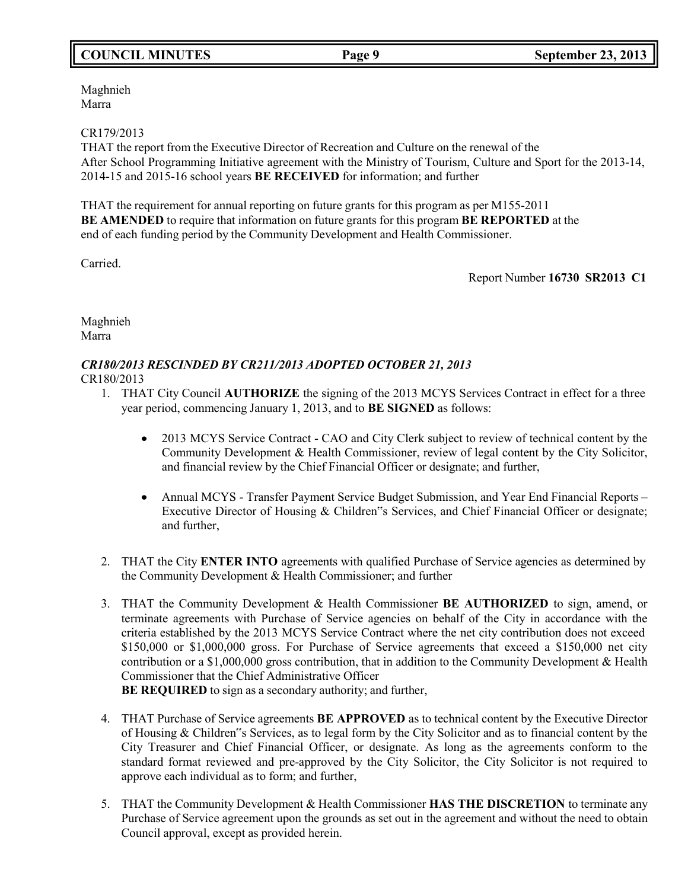## **COUNCIL MINUTES Page 9 September 23, 2013**

Maghnieh Marra

## CR179/2013

THAT the report from the Executive Director of Recreation and Culture on the renewal of the After School Programming Initiative agreement with the Ministry of Tourism, Culture and Sport for the 2013-14, 2014-15 and 2015-16 school years **BE RECEIVED** for information; and further

THAT the requirement for annual reporting on future grants for this program as per M155-2011 **BE AMENDED** to require that information on future grants for this program **BE REPORTED** at the end of each funding period by the Community Development and Health Commissioner.

Carried.

Report Number **16730 SR2013 C1**

Maghnieh Marra

# *CR180/2013 RESCINDED BY CR211/2013 ADOPTED OCTOBER 21, 2013*

CR180/2013

- 1. THAT City Council **AUTHORIZE** the signing of the 2013 MCYS Services Contract in effect for a three year period, commencing January 1, 2013, and to **BE SIGNED** as follows:
	- 2013 MCYS Service Contract CAO and City Clerk subject to review of technical content by the Community Development & Health Commissioner, review of legal content by the City Solicitor, and financial review by the Chief Financial Officer or designate; and further,
	- Annual MCYS Transfer Payment Service Budget Submission, and Year End Financial Reports Executive Director of Housing & Children"s Services, and Chief Financial Officer or designate; and further,
- 2. THAT the City **ENTER INTO** agreements with qualified Purchase of Service agencies as determined by the Community Development & Health Commissioner; and further
- 3. THAT the Community Development & Health Commissioner **BE AUTHORIZED** to sign, amend, or terminate agreements with Purchase of Service agencies on behalf of the City in accordance with the criteria established by the 2013 MCYS Service Contract where the net city contribution does not exceed \$150,000 or \$1,000,000 gross. For Purchase of Service agreements that exceed a \$150,000 net city contribution or a \$1,000,000 gross contribution, that in addition to the Community Development & Health Commissioner that the Chief Administrative Officer

**BE REQUIRED** to sign as a secondary authority; and further,

- 4. THAT Purchase of Service agreements **BE APPROVED** as to technical content by the Executive Director of Housing & Children"s Services, as to legal form by the City Solicitor and as to financial content by the City Treasurer and Chief Financial Officer, or designate. As long as the agreements conform to the standard format reviewed and pre-approved by the City Solicitor, the City Solicitor is not required to approve each individual as to form; and further,
- 5. THAT the Community Development & Health Commissioner **HAS THE DISCRETION** to terminate any Purchase of Service agreement upon the grounds as set out in the agreement and without the need to obtain Council approval, except as provided herein.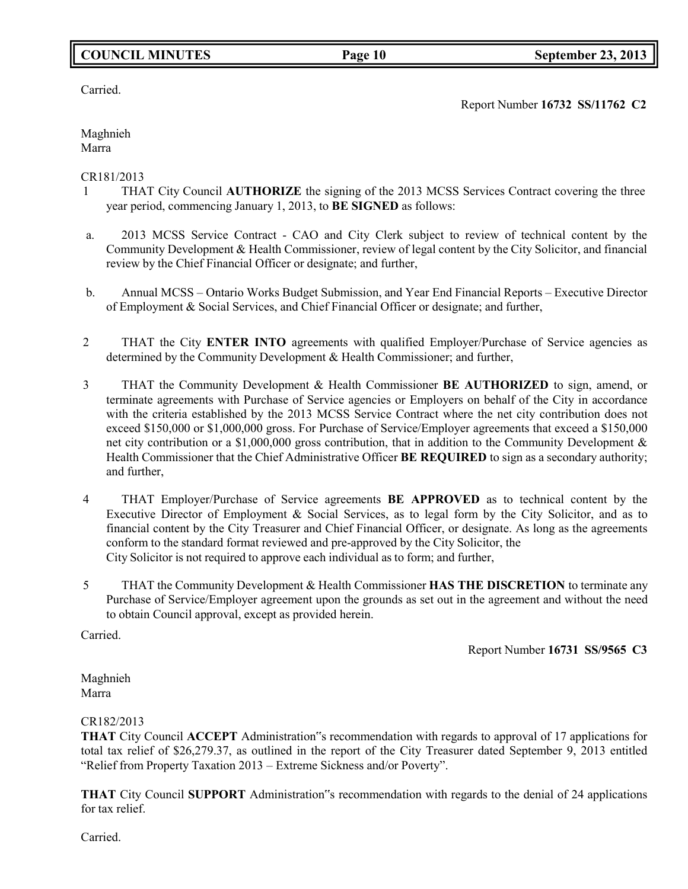## **COUNCIL MINUTES Page 10 September 23, 2013**

Carried.

Report Number **16732 SS/11762 C2**

Maghnieh Marra

## CR181/2013

- 1 THAT City Council **AUTHORIZE** the signing of the 2013 MCSS Services Contract covering the three year period, commencing January 1, 2013, to **BE SIGNED** as follows:
- a. 2013 MCSS Service Contract CAO and City Clerk subject to review of technical content by the Community Development & Health Commissioner, review of legal content by the City Solicitor, and financial review by the Chief Financial Officer or designate; and further,
- b. Annual MCSS Ontario Works Budget Submission, and Year End Financial Reports Executive Director of Employment & Social Services, and Chief Financial Officer or designate; and further,
- 2 THAT the City **ENTER INTO** agreements with qualified Employer/Purchase of Service agencies as determined by the Community Development & Health Commissioner; and further,
- 3 THAT the Community Development & Health Commissioner **BE AUTHORIZED** to sign, amend, or terminate agreements with Purchase of Service agencies or Employers on behalf of the City in accordance with the criteria established by the 2013 MCSS Service Contract where the net city contribution does not exceed \$150,000 or \$1,000,000 gross. For Purchase of Service/Employer agreements that exceed a \$150,000 net city contribution or a \$1,000,000 gross contribution, that in addition to the Community Development & Health Commissioner that the Chief Administrative Officer **BE REQUIRED** to sign as a secondary authority; and further,
- 4 THAT Employer/Purchase of Service agreements **BE APPROVED** as to technical content by the Executive Director of Employment & Social Services, as to legal form by the City Solicitor, and as to financial content by the City Treasurer and Chief Financial Officer, or designate. As long as the agreements conform to the standard format reviewed and pre-approved by the City Solicitor, the City Solicitor is not required to approve each individual as to form; and further,
- 5 THAT the Community Development & Health Commissioner **HAS THE DISCRETION** to terminate any Purchase of Service/Employer agreement upon the grounds as set out in the agreement and without the need to obtain Council approval, except as provided herein.

Carried.

Report Number **16731 SS/9565 C3**

Maghnieh Marra

## CR182/2013

**THAT** City Council **ACCEPT** Administration"s recommendation with regards to approval of 17 applications for total tax relief of \$26,279.37, as outlined in the report of the City Treasurer dated September 9, 2013 entitled "Relief from Property Taxation 2013 – Extreme Sickness and/or Poverty".

**THAT** City Council **SUPPORT** Administration"s recommendation with regards to the denial of 24 applications for tax relief.

Carried.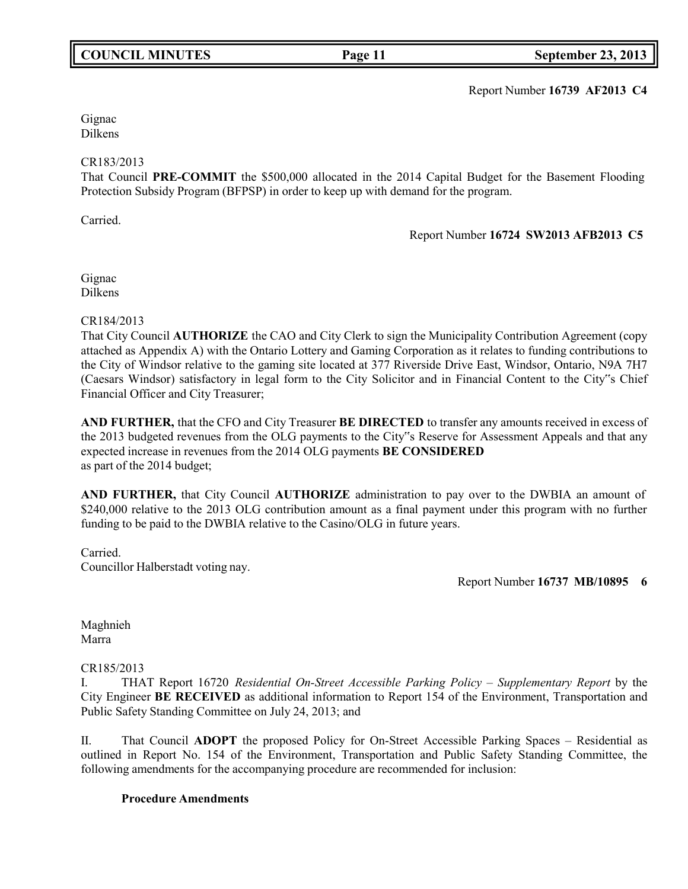## **COUNCIL MINUTES Page 11 September 23, 2013**

Report Number **16739 AF2013 C4**

Gignac Dilkens

### CR183/2013

That Council **PRE-COMMIT** the \$500,000 allocated in the 2014 Capital Budget for the Basement Flooding Protection Subsidy Program (BFPSP) in order to keep up with demand for the program.

Carried.

Report Number **16724 SW2013 AFB2013 C5**

Gignac Dilkens

CR184/2013

That City Council **AUTHORIZE** the CAO and City Clerk to sign the Municipality Contribution Agreement (copy attached as Appendix A) with the Ontario Lottery and Gaming Corporation as it relates to funding contributions to the City of Windsor relative to the gaming site located at 377 Riverside Drive East, Windsor, Ontario, N9A 7H7 (Caesars Windsor) satisfactory in legal form to the City Solicitor and in Financial Content to the City"s Chief Financial Officer and City Treasurer;

**AND FURTHER,** that the CFO and City Treasurer **BE DIRECTED** to transfer any amounts received in excess of the 2013 budgeted revenues from the OLG payments to the City"s Reserve for Assessment Appeals and that any expected increase in revenues from the 2014 OLG payments **BE CONSIDERED** as part of the 2014 budget;

**AND FURTHER,** that City Council **AUTHORIZE** administration to pay over to the DWBIA an amount of \$240,000 relative to the 2013 OLG contribution amount as a final payment under this program with no further funding to be paid to the DWBIA relative to the Casino/OLG in future years.

Carried. Councillor Halberstadt voting nay.

Report Number **16737 MB/10895 6**

Maghnieh Marra

## CR185/2013

I. THAT Report 16720 *Residential On-Street Accessible Parking Policy – Supplementary Report* by the City Engineer **BE RECEIVED** as additional information to Report 154 of the Environment, Transportation and Public Safety Standing Committee on July 24, 2013; and

II. That Council **ADOPT** the proposed Policy for On-Street Accessible Parking Spaces – Residential as outlined in Report No. 154 of the Environment, Transportation and Public Safety Standing Committee, the following amendments for the accompanying procedure are recommended for inclusion:

### **Procedure Amendments**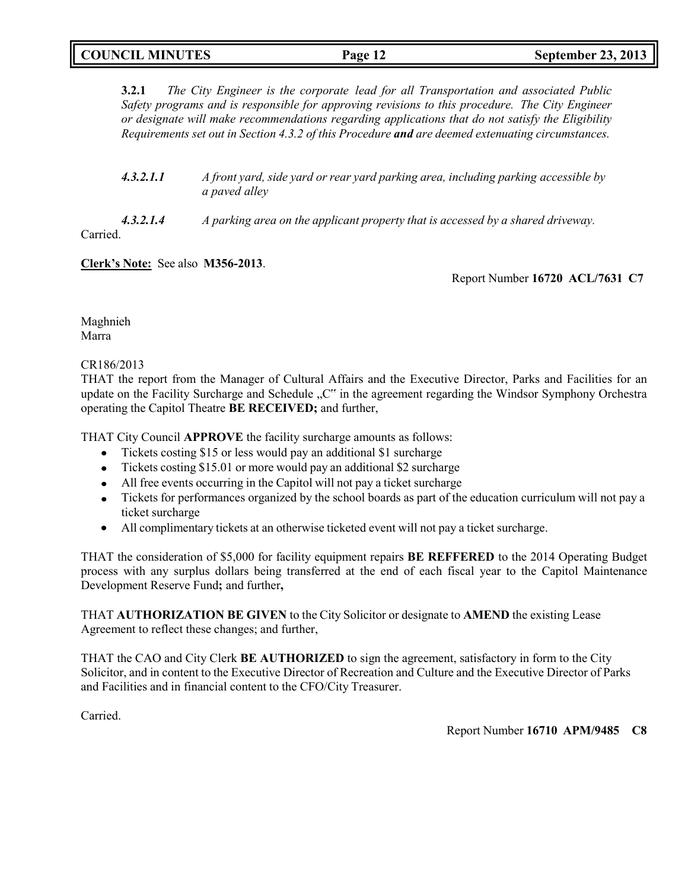## **COUNCIL MINUTES Page 12 September 23, 2013**

**3.2.1** *The City Engineer is the corporate lead for all Transportation and associated Public Safety programs and is responsible for approving revisions to this procedure. The City Engineer or designate will make recommendations regarding applications that do not satisfy the Eligibility Requirements set out in Section 4.3.2 of this Procedure and are deemed extenuating circumstances.*

| 4.3.2.1.1 | A front yard, side yard or rear yard parking area, including parking accessible by |
|-----------|------------------------------------------------------------------------------------|
|           | <i>a paved alley</i>                                                               |

*4.3.2.1.4 A parking area on the applicant property that is accessed by a shared driveway.*

Carried.

**Clerk's Note:** See also **M356-2013**.

Report Number **16720 ACL/7631 C7**

Maghnieh Marra

## CR186/2013

THAT the report from the Manager of Cultural Affairs and the Executive Director, Parks and Facilities for an update on the Facility Surcharge and Schedule "C" in the agreement regarding the Windsor Symphony Orchestra operating the Capitol Theatre **BE RECEIVED;** and further,

THAT City Council **APPROVE** the facility surcharge amounts as follows:

- Tickets costing \$15 or less would pay an additional \$1 surcharge
- Tickets costing \$15.01 or more would pay an additional \$2 surcharge
- All free events occurring in the Capitol will not pay a ticket surcharge
- Tickets for performances organized by the school boards as part of the education curriculum will not pay a ticket surcharge
- All complimentary tickets at an otherwise ticketed event will not pay a ticket surcharge.

THAT the consideration of \$5,000 for facility equipment repairs **BE REFFERED** to the 2014 Operating Budget process with any surplus dollars being transferred at the end of each fiscal year to the Capitol Maintenance Development Reserve Fund**;** and further**,**

THAT **AUTHORIZATION BE GIVEN** to the City Solicitor or designate to **AMEND** the existing Lease Agreement to reflect these changes; and further,

THAT the CAO and City Clerk **BE AUTHORIZED** to sign the agreement, satisfactory in form to the City Solicitor, and in content to the Executive Director of Recreation and Culture and the Executive Director of Parks and Facilities and in financial content to the CFO/City Treasurer.

Carried.

Report Number **16710 APM/9485 C8**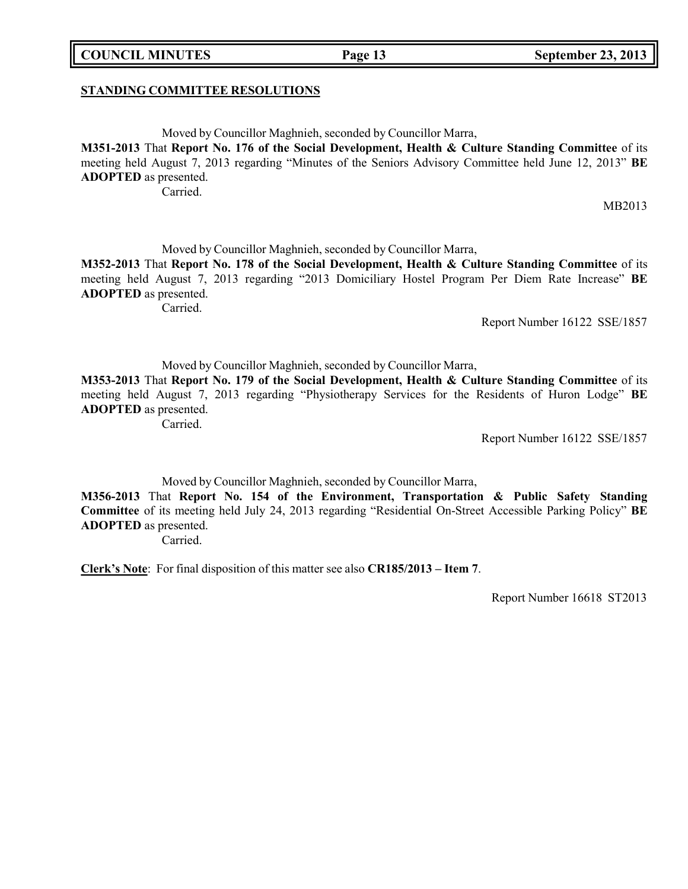### **STANDING COMMITTEE RESOLUTIONS**

Moved by Councillor Maghnieh, seconded by Councillor Marra,

**M351-2013** That **Report No. 176 of the Social Development, Health & Culture Standing Committee** of its meeting held August 7, 2013 regarding "Minutes of the Seniors Advisory Committee held June 12, 2013" **BE ADOPTED** as presented.

Carried.

MB2013

Moved by Councillor Maghnieh, seconded by Councillor Marra,

**M352-2013** That **Report No. 178 of the Social Development, Health & Culture Standing Committee** of its meeting held August 7, 2013 regarding "2013 Domiciliary Hostel Program Per Diem Rate Increase" **BE ADOPTED** as presented.

Carried.

Report Number 16122 SSE/1857

Moved by Councillor Maghnieh, seconded by Councillor Marra,

**M353-2013** That **Report No. 179 of the Social Development, Health & Culture Standing Committee** of its meeting held August 7, 2013 regarding "Physiotherapy Services for the Residents of Huron Lodge" **BE ADOPTED** as presented.

Carried.

Report Number 16122 SSE/1857

Moved by Councillor Maghnieh, seconded by Councillor Marra,

**M356-2013** That **Report No. 154 of the Environment, Transportation & Public Safety Standing Committee** of its meeting held July 24, 2013 regarding "Residential On-Street Accessible Parking Policy" **BE ADOPTED** as presented.

Carried.

**Clerk's Note**: For final disposition of this matter see also **CR185/2013 – Item 7**.

Report Number 16618 ST2013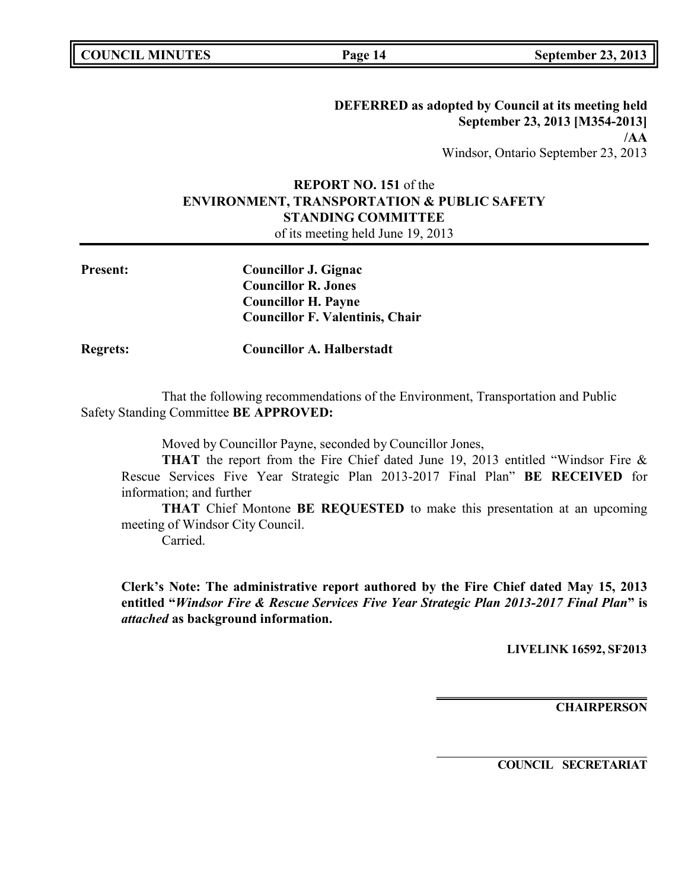**DEFERRED as adopted by Council at its meeting held September 23, 2013 [M354-2013] /AA** Windsor, Ontario September 23, 2013

# **REPORT NO. 151** of the **ENVIRONMENT, TRANSPORTATION & PUBLIC SAFETY STANDING COMMITTEE**

of its meeting held June 19, 2013

| <b>Present:</b> | Councillor J. Gignac                   |
|-----------------|----------------------------------------|
|                 | <b>Councillor R. Jones</b>             |
|                 | <b>Councillor H. Payne</b>             |
|                 | <b>Councillor F. Valentinis, Chair</b> |
|                 |                                        |

**Regrets: Councillor A. Halberstadt**

That the following recommendations of the Environment, Transportation and Public Safety Standing Committee **BE APPROVED:**

Moved by Councillor Payne, seconded by Councillor Jones,

**THAT** the report from the Fire Chief dated June 19, 2013 entitled "Windsor Fire & Rescue Services Five Year Strategic Plan 2013-2017 Final Plan" **BE RECEIVED** for information; and further

**THAT** Chief Montone **BE REQUESTED** to make this presentation at an upcoming meeting of Windsor City Council.

Carried.

**Clerk's Note: The administrative report authored by the Fire Chief dated May 15, 2013 entitled "***Windsor Fire & Rescue Services Five Year Strategic Plan 2013-2017 Final Plan***" is** *attached* **as background information.**

**LIVELINK 16592, SF2013**

**CHAIRPERSON**

**COUNCIL SECRETARIAT**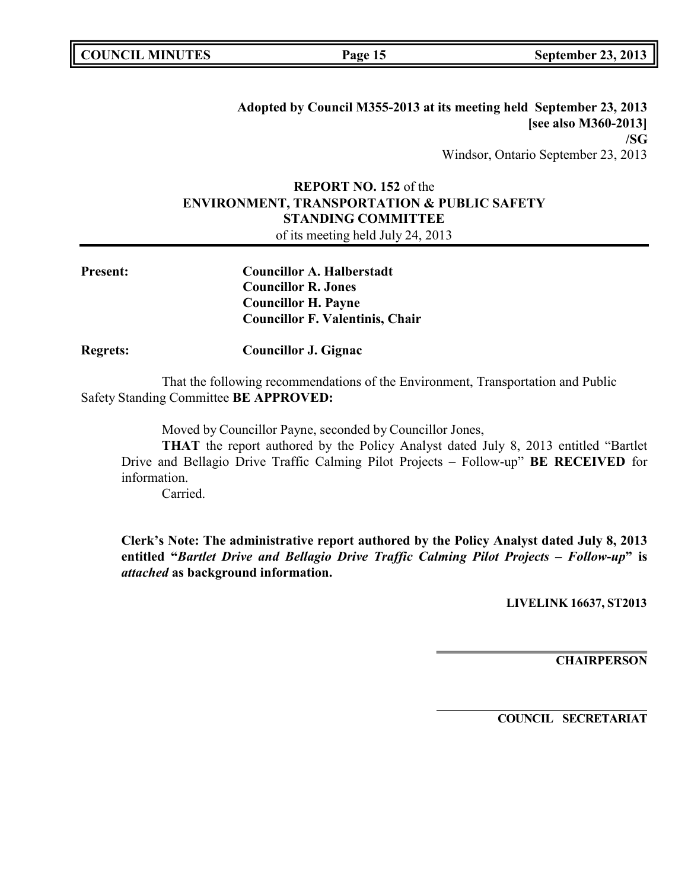|  | <b>COUNCIL MINUTES</b> |
|--|------------------------|
|--|------------------------|

**Adopted by Council M355-2013 at its meeting held September 23, 2013 [see also M360-2013] /SG** Windsor, Ontario September 23, 2013

## **REPORT NO. 152** of the **ENVIRONMENT, TRANSPORTATION & PUBLIC SAFETY STANDING COMMITTEE**

of its meeting held July 24, 2013

| <b>Present:</b> | <b>Councillor A. Halberstadt</b>       |
|-----------------|----------------------------------------|
|                 | <b>Councillor R. Jones</b>             |
|                 | <b>Councillor H. Payne</b>             |
|                 | <b>Councillor F. Valentinis, Chair</b> |
|                 |                                        |

**Regrets: Councillor J. Gignac**

That the following recommendations of the Environment, Transportation and Public Safety Standing Committee **BE APPROVED:**

Moved by Councillor Payne, seconded by Councillor Jones,

**THAT** the report authored by the Policy Analyst dated July 8, 2013 entitled "Bartlet Drive and Bellagio Drive Traffic Calming Pilot Projects – Follow-up" **BE RECEIVED** for information.

Carried.

**Clerk's Note: The administrative report authored by the Policy Analyst dated July 8, 2013 entitled "***Bartlet Drive and Bellagio Drive Traffic Calming Pilot Projects – Follow-up***" is** *attached* **as background information.**

**LIVELINK 16637, ST2013**

**CHAIRPERSON**

**COUNCIL SECRETARIAT**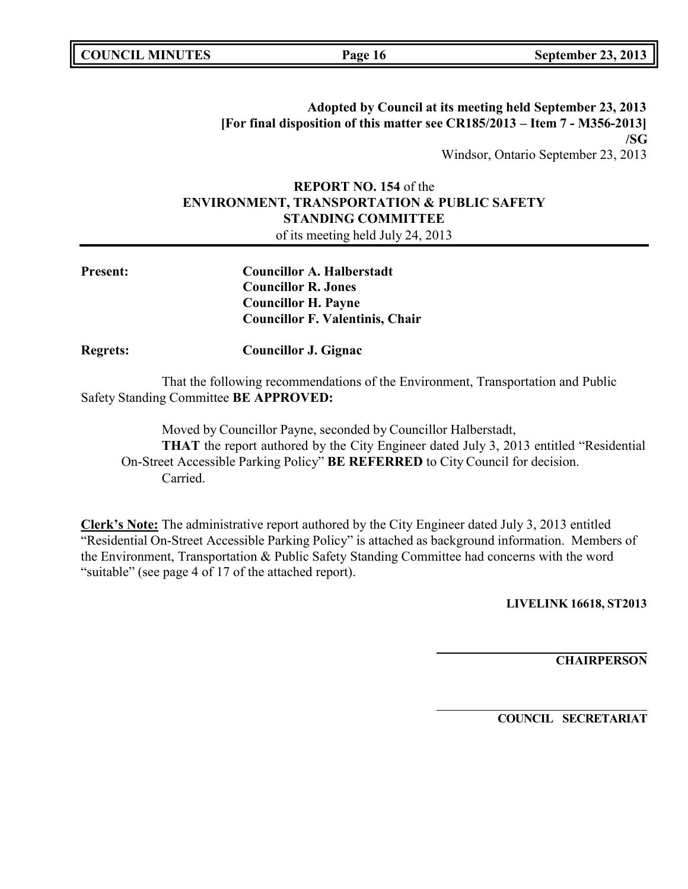| <b>COUNCIL MINUTES</b> |  |
|------------------------|--|
|------------------------|--|

**Adopted by Council at its meeting held September 23, 2013 [For final disposition of this matter see CR185/2013 – Item 7 - M356-2013] /SG** Windsor, Ontario September 23, 2013

# **REPORT NO. 154** of the **ENVIRONMENT, TRANSPORTATION & PUBLIC SAFETY STANDING COMMITTEE**

of its meeting held July 24, 2013

| <b>Councillor A. Halberstadt</b>       |
|----------------------------------------|
| <b>Councillor R. Jones</b>             |
| <b>Councillor H. Payne</b>             |
| <b>Councillor F. Valentinis, Chair</b> |

**Regrets: Councillor J. Gignac**

That the following recommendations of the Environment, Transportation and Public Safety Standing Committee **BE APPROVED:**

Moved by Councillor Payne, seconded by Councillor Halberstadt, **THAT** the report authored by the City Engineer dated July 3, 2013 entitled "Residential On-Street Accessible Parking Policy" **BE REFERRED** to City Council for decision. Carried.

**Clerk's Note:** The administrative report authored by the City Engineer dated July 3, 2013 entitled "Residential On-Street Accessible Parking Policy" is attached as background information. Members of the Environment, Transportation & Public Safety Standing Committee had concerns with the word "suitable" (see page 4 of 17 of the attached report).

**LIVELINK 16618, ST2013**

**CHAIRPERSON**

**COUNCIL SECRETARIAT**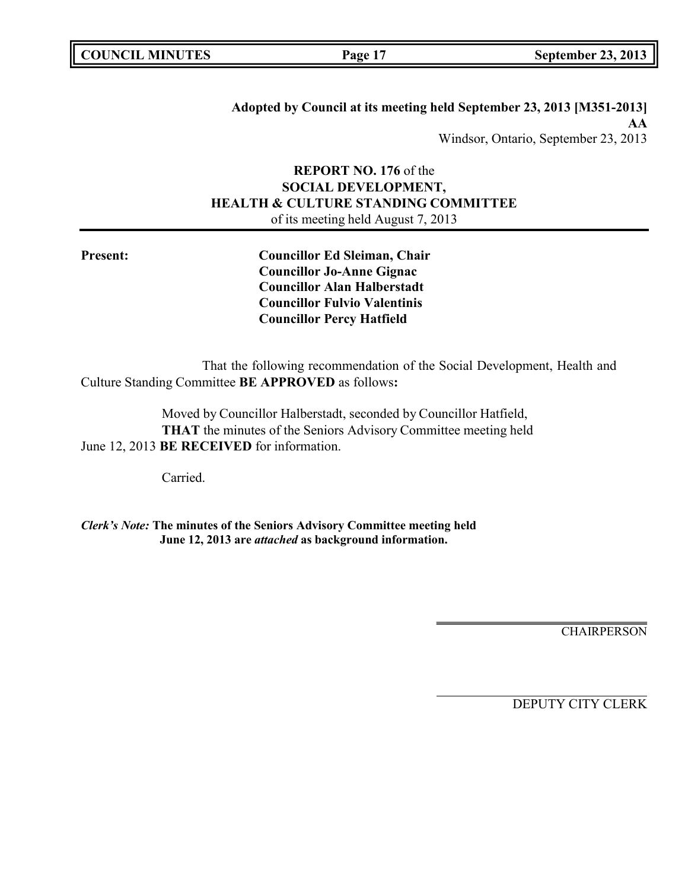| <b>COUNCIL MINUTES</b> |  |
|------------------------|--|
|------------------------|--|

**Adopted by Council at its meeting held September 23, 2013 [M351-2013] AA** Windsor, Ontario, September 23, 2013

## **REPORT NO. 176** of the **SOCIAL DEVELOPMENT, HEALTH & CULTURE STANDING COMMITTEE** of its meeting held August 7, 2013

**Present: Councillor Ed Sleiman, Chair Councillor Jo-Anne Gignac Councillor Alan Halberstadt Councillor Fulvio Valentinis Councillor Percy Hatfield**

That the following recommendation of the Social Development, Health and Culture Standing Committee **BE APPROVED** as follows**:**

Moved by Councillor Halberstadt, seconded by Councillor Hatfield, **THAT** the minutes of the Seniors Advisory Committee meeting held June 12, 2013 **BE RECEIVED** for information.

Carried.

*Clerk's Note:* **The minutes of the Seniors Advisory Committee meeting held June 12, 2013 are** *attached* **as background information.**

**CHAIRPERSON** 

DEPUTY CITY CLERK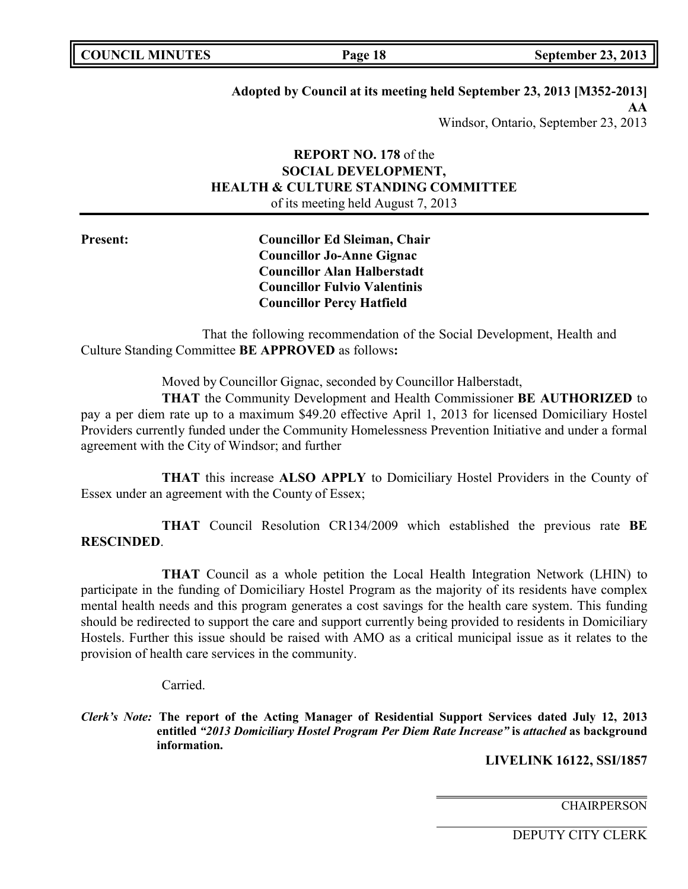## **Adopted by Council at its meeting held September 23, 2013 [M352-2013]**

**AA** Windsor, Ontario, September 23, 2013

## **REPORT NO. 178** of the **SOCIAL DEVELOPMENT, HEALTH & CULTURE STANDING COMMITTEE** of its meeting held August 7, 2013

**Present: Councillor Ed Sleiman, Chair Councillor Jo-Anne Gignac Councillor Alan Halberstadt Councillor Fulvio Valentinis Councillor Percy Hatfield**

That the following recommendation of the Social Development, Health and Culture Standing Committee **BE APPROVED** as follows**:**

Moved by Councillor Gignac, seconded by Councillor Halberstadt,

**THAT** the Community Development and Health Commissioner **BE AUTHORIZED** to pay a per diem rate up to a maximum \$49.20 effective April 1, 2013 for licensed Domiciliary Hostel Providers currently funded under the Community Homelessness Prevention Initiative and under a formal agreement with the City of Windsor; and further

**THAT** this increase **ALSO APPLY** to Domiciliary Hostel Providers in the County of Essex under an agreement with the County of Essex;

**THAT** Council Resolution CR134/2009 which established the previous rate **BE RESCINDED**.

**THAT** Council as a whole petition the Local Health Integration Network (LHIN) to participate in the funding of Domiciliary Hostel Program as the majority of its residents have complex mental health needs and this program generates a cost savings for the health care system. This funding should be redirected to support the care and support currently being provided to residents in Domiciliary Hostels. Further this issue should be raised with AMO as a critical municipal issue as it relates to the provision of health care services in the community.

Carried.

*Clerk's Note:* **The report of the Acting Manager of Residential Support Services dated July 12, 2013 entitled** *"2013 Domiciliary Hostel Program Per Diem Rate Increase"* **is** *attached* **as background information.**

**LIVELINK 16122, SSI/1857**

**CHAIRPERSON** 

DEPUTY CITY CLERK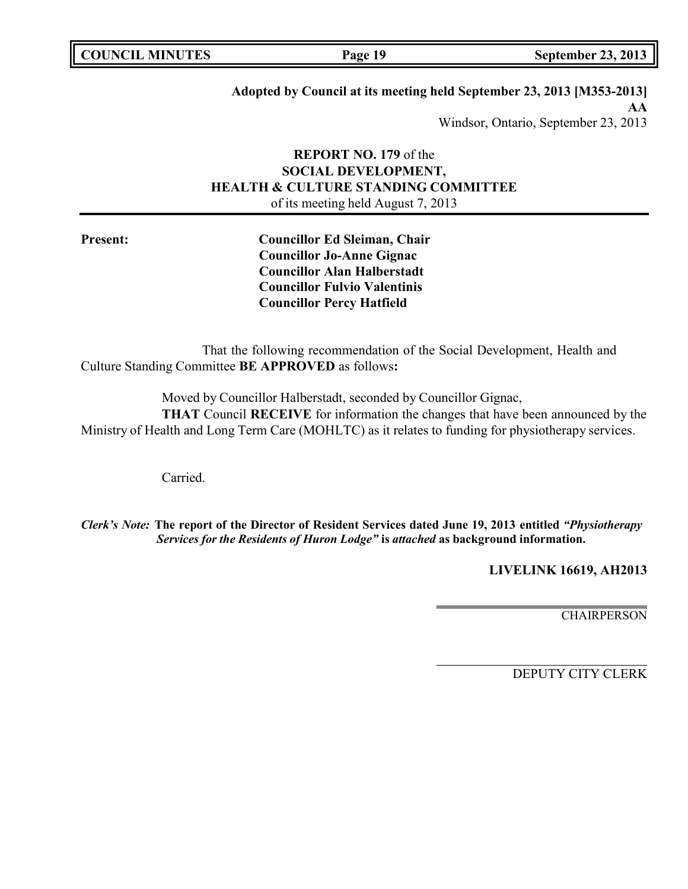**COUNCIL MINUTES Page 19 September 23, 2013**

## **Adopted by Council at its meeting held September 23, 2013 [M353-2013]**

**AA** Windsor, Ontario, September 23, 2013

## **REPORT NO. 179** of the **SOCIAL DEVELOPMENT, HEALTH & CULTURE STANDING COMMITTEE** of its meeting held August 7, 2013

**Present: Councillor Ed Sleiman, Chair Councillor Jo-Anne Gignac Councillor Alan Halberstadt Councillor Fulvio Valentinis Councillor Percy Hatfield**

That the following recommendation of the Social Development, Health and Culture Standing Committee **BE APPROVED** as follows**:**

Moved by Councillor Halberstadt, seconded by Councillor Gignac, **THAT** Council **RECEIVE** for information the changes that have been announced by the Ministry of Health and Long Term Care (MOHLTC) as it relates to funding for physiotherapy services.

Carried.

*Clerk's Note:* **The report of the Director of Resident Services dated June 19, 2013 entitled** *"Physiotherapy Services for the Residents of Huron Lodge"* **is** *attached* **as background information.**

**LIVELINK 16619, AH2013**

**CHAIRPERSON** 

DEPUTY CITY CLERK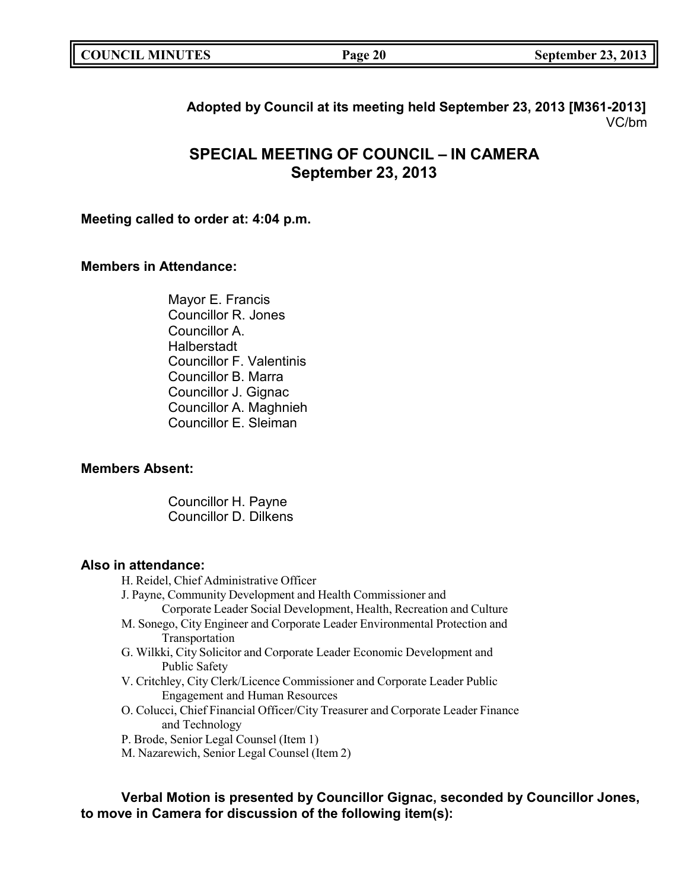| <b>COUNCIL MINUTES</b> | Page 20 | <b>September 23, 2013</b> |
|------------------------|---------|---------------------------|
|                        |         |                           |

## **Adopted by Council at its meeting held September 23, 2013 [M361-2013]** VC/bm

# **SPECIAL MEETING OF COUNCIL – IN CAMERA September 23, 2013**

## **Meeting called to order at: 4:04 p.m.**

## **Members in Attendance:**

Mayor E. Francis Councillor R. Jones Councillor A. Halberstadt Councillor F. Valentinis Councillor B. Marra Councillor J. Gignac Councillor A. Maghnieh Councillor E. Sleiman

## **Members Absent:**

Councillor H. Payne Councillor D. Dilkens

## **Also in attendance:**

- H. Reidel, Chief Administrative Officer
- J. Payne, Community Development and Health Commissioner and
	- Corporate Leader Social Development, Health, Recreation and Culture
- M. Sonego, City Engineer and Corporate Leader Environmental Protection and Transportation
- G. Wilkki, City Solicitor and Corporate Leader Economic Development and Public Safety
- V. Critchley, City Clerk/Licence Commissioner and Corporate Leader Public Engagement and Human Resources
- O. Colucci, Chief Financial Officer/City Treasurer and Corporate Leader Finance and Technology
- P. Brode, Senior Legal Counsel (Item 1)
- M. Nazarewich, Senior Legal Counsel (Item 2)

**Verbal Motion is presented by Councillor Gignac, seconded by Councillor Jones, to move in Camera for discussion of the following item(s):**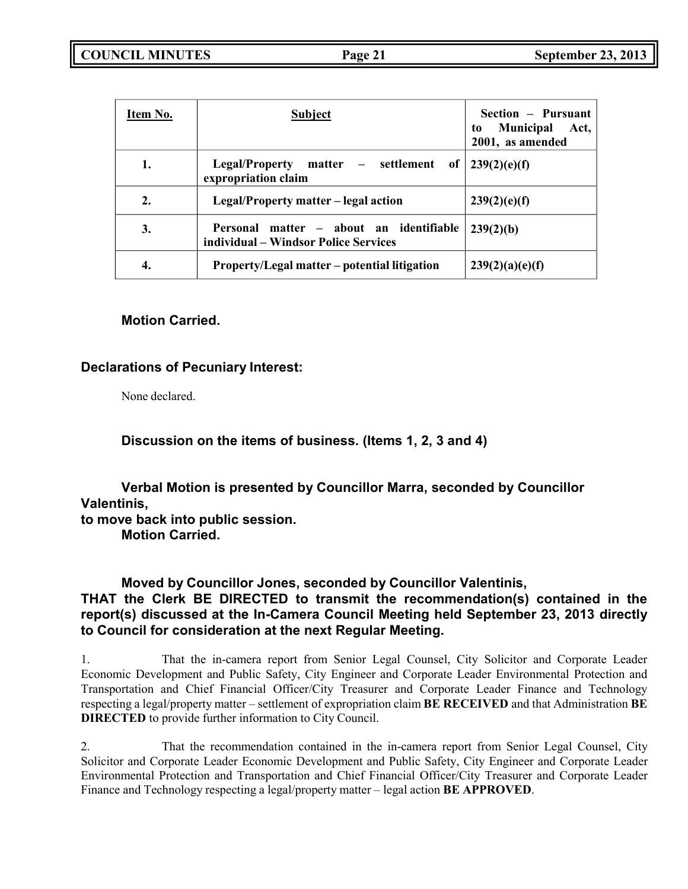**COUNCIL MINUTES Page 21 September 23, 2013**

| Item No.         | <b>Subject</b>                                                                  | Section – Pursuant<br><b>Municipal</b><br>Act,<br>to<br>2001, as amended |
|------------------|---------------------------------------------------------------------------------|--------------------------------------------------------------------------|
| 1.               | matter – settlement<br><b>Legal/Property</b><br>expropriation claim             | of $  239(2)(e)(f)$                                                      |
| $\overline{2}$ . | Legal/Property matter – legal action                                            | 239(2)(e)(f)                                                             |
| 3.               | Personal matter – about an identifiable<br>individual – Windsor Police Services | 239(2)(b)                                                                |
| 4.               | Property/Legal matter – potential litigation                                    | 239(2)(a)(e)(f)                                                          |

## **Motion Carried.**

## **Declarations of Pecuniary Interest:**

None declared.

**Discussion on the items of business. (Items 1, 2, 3 and 4)**

**Verbal Motion is presented by Councillor Marra, seconded by Councillor Valentinis,**

**to move back into public session.**

**Motion Carried.**

## **Moved by Councillor Jones, seconded by Councillor Valentinis, THAT the Clerk BE DIRECTED to transmit the recommendation(s) contained in the report(s) discussed at the In-Camera Council Meeting held September 23, 2013 directly to Council for consideration at the next Regular Meeting.**

1. That the in-camera report from Senior Legal Counsel, City Solicitor and Corporate Leader Economic Development and Public Safety, City Engineer and Corporate Leader Environmental Protection and Transportation and Chief Financial Officer/City Treasurer and Corporate Leader Finance and Technology respecting a legal/property matter – settlement of expropriation claim **BE RECEIVED** and that Administration **BE DIRECTED** to provide further information to City Council.

2. That the recommendation contained in the in-camera report from Senior Legal Counsel, City Solicitor and Corporate Leader Economic Development and Public Safety, City Engineer and Corporate Leader Environmental Protection and Transportation and Chief Financial Officer/City Treasurer and Corporate Leader Finance and Technology respecting a legal/property matter – legal action **BE APPROVED**.